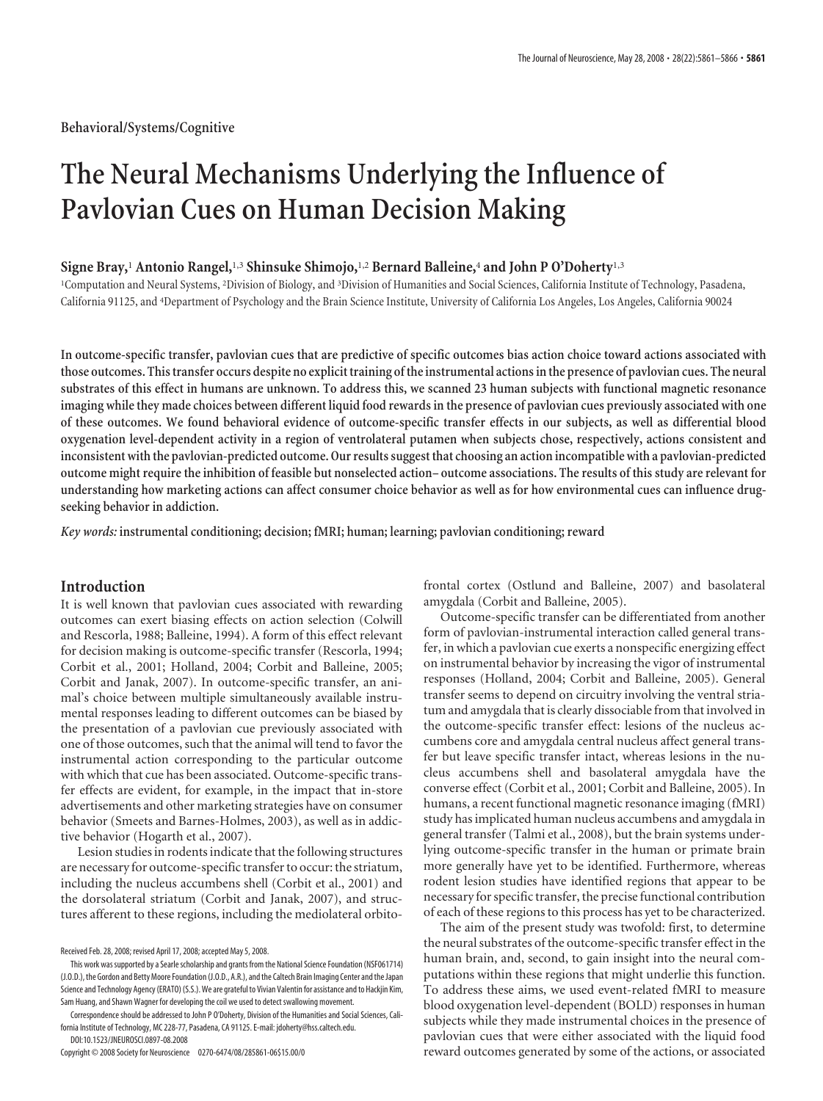**Behavioral/Systems/Cognitive**

# **The Neural Mechanisms Underlying the Influence of Pavlovian Cues on Human Decision Making**

# **Signe Bray,**<sup>1</sup> **Antonio Rangel,**1,3 **Shinsuke Shimojo,**1,2 **Bernard Balleine,**<sup>4</sup> **and John P O'Doherty**1,3

1 Computation and Neural Systems, <sup>2</sup> Division of Biology, and <sup>3</sup> Division of Humanities and Social Sciences, California Institute of Technology, Pasadena, California 91125, and <sup>4</sup> Department of Psychology and the Brain Science Institute, University of California Los Angeles, Los Angeles, California 90024

**In outcome-specific transfer, pavlovian cues that are predictive of specific outcomes bias action choice toward actions associated with those outcomes. Thistransfer occurs despite no explicittraining ofthe instrumental actions inthe presence of pavlovian cues. The neural substrates of this effect in humans are unknown. To address this, we scanned 23 human subjects with functional magnetic resonance imaging while they made choices between different liquid food rewards in the presence of pavlovian cues previously associated with one of these outcomes. We found behavioral evidence of outcome-specific transfer effects in our subjects, as well as differential blood oxygenation level-dependent activity in a region of ventrolateral putamen when subjects chose, respectively, actions consistent and inconsistent with the pavlovian-predicted outcome. Our results suggest that choosing an action incompatible with a pavlovian-predicted outcome might require the inhibition of feasible but nonselected action– outcome associations. The results of this study are relevant for understanding how marketing actions can affect consumer choice behavior as well as for how environmental cues can influence drugseeking behavior in addiction.**

*Key words:* **instrumental conditioning; decision; fMRI; human; learning; pavlovian conditioning; reward**

# **Introduction**

It is well known that pavlovian cues associated with rewarding outcomes can exert biasing effects on action selection (Colwill and Rescorla, 1988; Balleine, 1994). A form of this effect relevant for decision making is outcome-specific transfer (Rescorla, 1994; Corbit et al., 2001; Holland, 2004; Corbit and Balleine, 2005; Corbit and Janak, 2007). In outcome-specific transfer, an animal's choice between multiple simultaneously available instrumental responses leading to different outcomes can be biased by the presentation of a pavlovian cue previously associated with one of those outcomes, such that the animal will tend to favor the instrumental action corresponding to the particular outcome with which that cue has been associated. Outcome-specific transfer effects are evident, for example, in the impact that in-store advertisements and other marketing strategies have on consumer behavior (Smeets and Barnes-Holmes, 2003), as well as in addictive behavior (Hogarth et al., 2007).

Lesion studies in rodents indicate that the following structures are necessary for outcome-specific transfer to occur: the striatum, including the nucleus accumbens shell (Corbit et al., 2001) and the dorsolateral striatum (Corbit and Janak, 2007), and structures afferent to these regions, including the mediolateral orbitofrontal cortex (Ostlund and Balleine, 2007) and basolateral amygdala (Corbit and Balleine, 2005).

Outcome-specific transfer can be differentiated from another form of pavlovian-instrumental interaction called general transfer, in which a pavlovian cue exerts a nonspecific energizing effect on instrumental behavior by increasing the vigor of instrumental responses (Holland, 2004; Corbit and Balleine, 2005). General transfer seems to depend on circuitry involving the ventral striatum and amygdala that is clearly dissociable from that involved in the outcome-specific transfer effect: lesions of the nucleus accumbens core and amygdala central nucleus affect general transfer but leave specific transfer intact, whereas lesions in the nucleus accumbens shell and basolateral amygdala have the converse effect (Corbit et al., 2001; Corbit and Balleine, 2005). In humans, a recent functional magnetic resonance imaging (fMRI) study has implicated human nucleus accumbens and amygdala in general transfer (Talmi et al., 2008), but the brain systems underlying outcome-specific transfer in the human or primate brain more generally have yet to be identified. Furthermore, whereas rodent lesion studies have identified regions that appear to be necessary for specific transfer, the precise functional contribution of each of these regions to this process has yet to be characterized.

The aim of the present study was twofold: first, to determine the neural substrates of the outcome-specific transfer effect in the human brain, and, second, to gain insight into the neural computations within these regions that might underlie this function. To address these aims, we used event-related fMRI to measure blood oxygenation level-dependent (BOLD) responses in human subjects while they made instrumental choices in the presence of pavlovian cues that were either associated with the liquid food reward outcomes generated by some of the actions, or associated

Received Feb. 28, 2008; revised April 17, 2008; accepted May 5, 2008.

This work was supported by a Searle scholarship and grants from the National Science Foundation (NSF061714) (J.O.D.), the Gordon and Betty Moore Foundation (J.O.D., A.R.), and the Caltech Brain Imaging Center and the Japan Science and Technology Agency (ERATO) (S.S.). We are grateful to Vivian Valentin for assistance and to Hackjin Kim, Sam Huang, and Shawn Wagner for developing the coil we used to detect swallowing movement.

Correspondence should be addressed to John P O'Doherty, Division of the Humanities and Social Sciences, California Institute of Technology, MC 228-77, Pasadena, CA 91125. E-mail: jdoherty@hss.caltech.edu. DOI:10.1523/JNEUROSCI.0897-08.2008

Copyright © 2008 Society for Neuroscience 0270-6474/08/285861-06\$15.00/0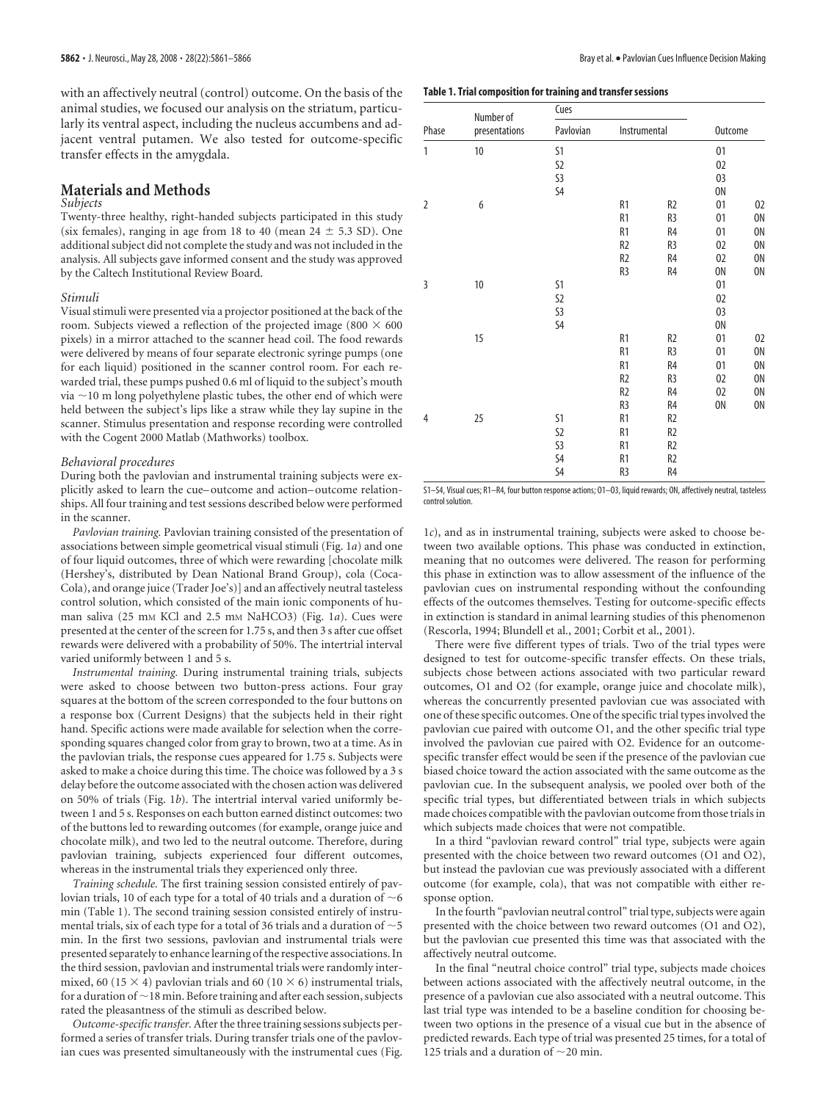with an affectively neutral (control) outcome. On the basis of the animal studies, we focused our analysis on the striatum, particularly its ventral aspect, including the nucleus accumbens and adjacent ventral putamen. We also tested for outcome-specific transfer effects in the amygdala.

## **Materials and Methods**

#### *Subjects*

Twenty-three healthy, right-handed subjects participated in this study (six females), ranging in age from 18 to 40 (mean  $24 \pm 5.3$  SD). One additional subject did not complete the study and was not included in the analysis. All subjects gave informed consent and the study was approved by the Caltech Institutional Review Board.

#### *Stimuli*

Visual stimuli were presented via a projector positioned at the back of the room. Subjects viewed a reflection of the projected image (800  $\times$  600 pixels) in a mirror attached to the scanner head coil. The food rewards were delivered by means of four separate electronic syringe pumps (one for each liquid) positioned in the scanner control room. For each rewarded trial, these pumps pushed 0.6 ml of liquid to the subject's mouth via  $\sim$  10 m long polyethylene plastic tubes, the other end of which were held between the subject's lips like a straw while they lay supine in the scanner. Stimulus presentation and response recording were controlled with the Cogent 2000 Matlab (Mathworks) toolbox.

#### *Behavioral procedures*

During both the pavlovian and instrumental training subjects were explicitly asked to learn the cue– outcome and action– outcome relationships. All four training and test sessions described below were performed in the scanner.

*Pavlovian training.* Pavlovian training consisted of the presentation of associations between simple geometrical visual stimuli (Fig. 1*a*) and one of four liquid outcomes, three of which were rewarding [chocolate milk (Hershey's, distributed by Dean National Brand Group), cola (Coca-Cola), and orange juice (Trader Joe's)] and an affectively neutral tasteless control solution, which consisted of the main ionic components of human saliva (25 mM KCl and 2.5 mM NaHCO3) (Fig. 1*a*). Cues were presented at the center of the screen for 1.75 s, and then 3 s after cue offset rewards were delivered with a probability of 50%. The intertrial interval varied uniformly between 1 and 5 s.

*Instrumental training.* During instrumental training trials, subjects were asked to choose between two button-press actions. Four gray squares at the bottom of the screen corresponded to the four buttons on a response box (Current Designs) that the subjects held in their right hand. Specific actions were made available for selection when the corresponding squares changed color from gray to brown, two at a time. As in the pavlovian trials, the response cues appeared for 1.75 s. Subjects were asked to make a choice during this time. The choice was followed bya3s delay before the outcome associated with the chosen action was delivered on 50% of trials (Fig. 1*b*). The intertrial interval varied uniformly between 1 and 5 s. Responses on each button earned distinct outcomes: two of the buttons led to rewarding outcomes (for example, orange juice and chocolate milk), and two led to the neutral outcome. Therefore, during pavlovian training, subjects experienced four different outcomes, whereas in the instrumental trials they experienced only three.

*Training schedule.* The first training session consisted entirely of pavlovian trials, 10 of each type for a total of 40 trials and a duration of  $\sim$  6 min (Table 1). The second training session consisted entirely of instrumental trials, six of each type for a total of 36 trials and a duration of  $\sim$  5 min. In the first two sessions, pavlovian and instrumental trials were presented separately to enhance learning of the respective associations. In the third session, pavlovian and instrumental trials were randomly intermixed, 60 (15  $\times$  4) pavlovian trials and 60 (10  $\times$  6) instrumental trials, for a duration of  $\sim$  18 min. Before training and after each session, subjects rated the pleasantness of the stimuli as described below.

*Outcome-specific transfer.*After the three training sessions subjects performed a series of transfer trials. During transfer trials one of the pavlovian cues was presented simultaneously with the instrumental cues (Fig.

#### **Table 1. Trial composition for training and transfer sessions**

| Phase<br>1     | Number of<br>presentations<br>$10\,$ | Cues            |                |                |         |    |
|----------------|--------------------------------------|-----------------|----------------|----------------|---------|----|
|                |                                      | Pavlovian<br>S1 | Instrumental   |                | Outcome |    |
|                |                                      |                 |                |                | 01      |    |
|                |                                      | S <sub>2</sub>  |                |                | 02      |    |
|                |                                      | S3              |                |                | 03      |    |
|                |                                      | S4              |                |                | 0N      |    |
| $\overline{2}$ | 6                                    |                 | R <sub>1</sub> | R <sub>2</sub> | 01      | 02 |
|                |                                      |                 | R <sub>1</sub> | R <sub>3</sub> | 01      | 0N |
|                |                                      |                 | R <sub>1</sub> | R4             | 01      | 0N |
|                |                                      |                 | R <sub>2</sub> | R <sub>3</sub> | 02      | 0N |
|                |                                      |                 | R <sub>2</sub> | R4             | 02      | 0N |
|                |                                      |                 | R <sub>3</sub> | R4             | 0N      | 0N |
| 3              | 10                                   | S1              |                |                | 01      |    |
|                |                                      | S <sub>2</sub>  |                |                | 02      |    |
|                |                                      | S <sub>3</sub>  |                |                | 03      |    |
|                |                                      | S4              |                |                | 0N      |    |
|                | 15                                   |                 | R <sub>1</sub> | R <sub>2</sub> | 01      | 02 |
|                |                                      |                 | R <sub>1</sub> | R <sub>3</sub> | 01      | 0N |
|                |                                      |                 | R <sub>1</sub> | R4             | 01      | 0N |
|                |                                      |                 | R <sub>2</sub> | R <sub>3</sub> | 02      | 0N |
|                |                                      |                 | R <sub>2</sub> | R4             | 02      | 0N |
|                |                                      |                 | R <sub>3</sub> | R4             | 0N      | 0N |
| 4              | 25                                   | S1              | R <sub>1</sub> | R <sub>2</sub> |         |    |
|                |                                      | S <sub>2</sub>  | R1             | R <sub>2</sub> |         |    |
|                |                                      | S3              | R1             | R <sub>2</sub> |         |    |
|                |                                      | S4              | R1             | R <sub>2</sub> |         |    |
|                |                                      | S4              | R3             | R4             |         |    |

S1–S4, Visual cues; R1–R4, four button response actions; O1–O3, liquid rewards; ON, affectively neutral, tasteless control solution.

1*c*), and as in instrumental training, subjects were asked to choose between two available options. This phase was conducted in extinction, meaning that no outcomes were delivered. The reason for performing this phase in extinction was to allow assessment of the influence of the pavlovian cues on instrumental responding without the confounding effects of the outcomes themselves. Testing for outcome-specific effects in extinction is standard in animal learning studies of this phenomenon (Rescorla, 1994; Blundell et al., 2001; Corbit et al., 2001).

There were five different types of trials. Two of the trial types were designed to test for outcome-specific transfer effects. On these trials, subjects chose between actions associated with two particular reward outcomes, O1 and O2 (for example, orange juice and chocolate milk), whereas the concurrently presented pavlovian cue was associated with one of these specific outcomes. One of the specific trial types involved the pavlovian cue paired with outcome O1, and the other specific trial type involved the pavlovian cue paired with O2. Evidence for an outcomespecific transfer effect would be seen if the presence of the pavlovian cue biased choice toward the action associated with the same outcome as the pavlovian cue. In the subsequent analysis, we pooled over both of the specific trial types, but differentiated between trials in which subjects made choices compatible with the pavlovian outcome from those trials in which subjects made choices that were not compatible.

In a third "pavlovian reward control" trial type, subjects were again presented with the choice between two reward outcomes (O1 and O2), but instead the pavlovian cue was previously associated with a different outcome (for example, cola), that was not compatible with either response option.

In the fourth "pavlovian neutral control" trial type, subjects were again presented with the choice between two reward outcomes (O1 and O2), but the pavlovian cue presented this time was that associated with the affectively neutral outcome.

In the final "neutral choice control" trial type, subjects made choices between actions associated with the affectively neutral outcome, in the presence of a pavlovian cue also associated with a neutral outcome. This last trial type was intended to be a baseline condition for choosing between two options in the presence of a visual cue but in the absence of predicted rewards. Each type of trial was presented 25 times, for a total of 125 trials and a duration of  $\sim$  20 min.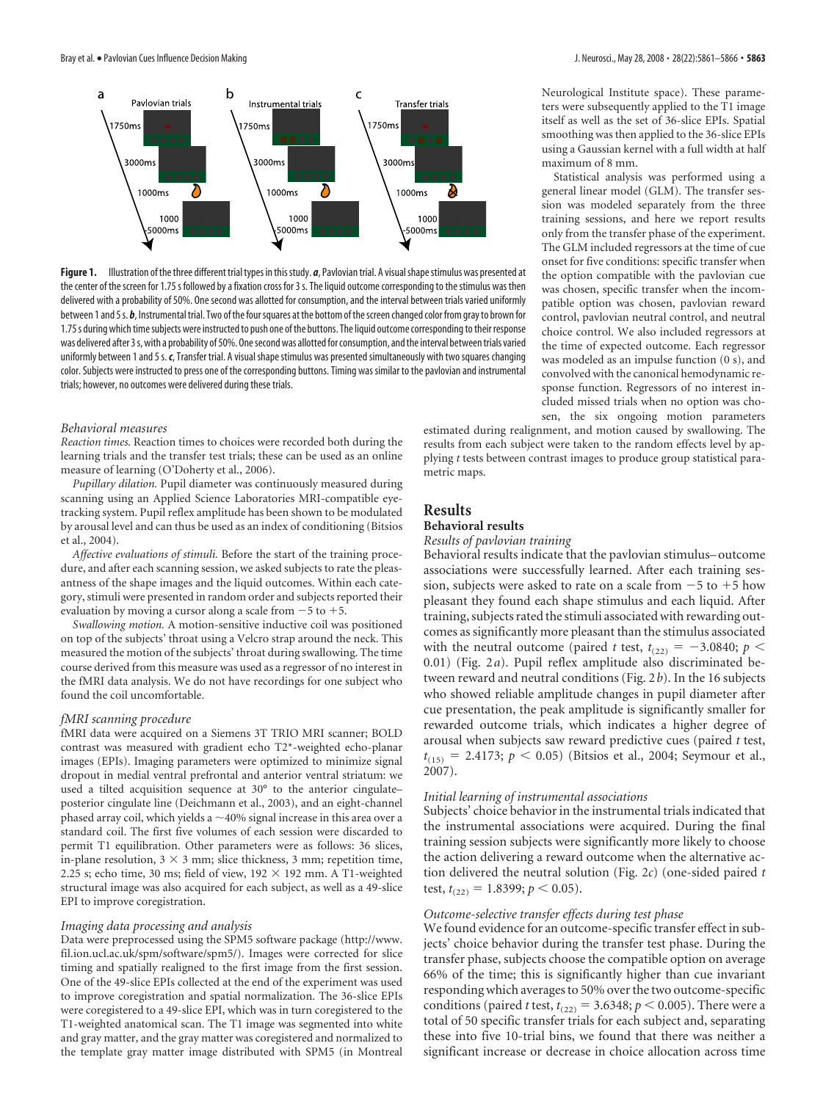

Figure 1. Illustration of the three different trial types in this study. *a*, Pavlovian trial. A visual shape stimulus was presented at the center of the screen for 1.75 s followed by a fixation cross for 3 s. The liquid outcome corresponding to the stimulus was then delivered with a probability of 50%. One second was allotted for consumption, and the interval between trials varied uniformly between 1 and 5 s. b, Instrumental trial. Two of the four squares at the bottom of the screen changed color from gray to brown for 1.75 s during which time subjects were instructed to push one of the buttons. The liquid outcome corresponding to their response was delivered after 3 s, with a probability of 50%. One second was allotted for consumption, and the interval between trials varied uniformly between 1 and 5 s.*c*, Transfer trial. A visual shape stimulus was presented simultaneously with two squares changing color. Subjects were instructed to press one of the corresponding buttons. Timing was similar to the pavlovian and instrumental trials; however, no outcomes were delivered during these trials.

#### *Behavioral measures*

*Reaction times.* Reaction times to choices were recorded both during the learning trials and the transfer test trials; these can be used as an online measure of learning (O'Doherty et al., 2006).

*Pupillary dilation.* Pupil diameter was continuously measured during scanning using an Applied Science Laboratories MRI-compatible eyetracking system. Pupil reflex amplitude has been shown to be modulated by arousal level and can thus be used as an index of conditioning (Bitsios et al., 2004).

*Affective evaluations of stimuli.* Before the start of the training procedure, and after each scanning session, we asked subjects to rate the pleasantness of the shape images and the liquid outcomes. Within each category, stimuli were presented in random order and subjects reported their evaluation by moving a cursor along a scale from  $-5$  to  $+5$ .

*Swallowing motion.* A motion-sensitive inductive coil was positioned on top of the subjects' throat using a Velcro strap around the neck. This measured the motion of the subjects' throat during swallowing. The time course derived from this measure was used as a regressor of no interest in the fMRI data analysis. We do not have recordings for one subject who found the coil uncomfortable.

#### *fMRI scanning procedure*

fMRI data were acquired on a Siemens 3T TRIO MRI scanner; BOLD contrast was measured with gradient echo T2\*-weighted echo-planar images (EPIs). Imaging parameters were optimized to minimize signal dropout in medial ventral prefrontal and anterior ventral striatum: we used a tilted acquisition sequence at 30° to the anterior cingulate– posterior cingulate line (Deichmann et al., 2003), and an eight-channel phased array coil, which yields a  $\sim$  40% signal increase in this area over a standard coil. The first five volumes of each session were discarded to permit T1 equilibration. Other parameters were as follows: 36 slices, in-plane resolution,  $3 \times 3$  mm; slice thickness,  $3$  mm; repetition time, 2.25 s; echo time, 30 ms; field of view,  $192 \times 192$  mm. A T1-weighted structural image was also acquired for each subject, as well as a 49-slice EPI to improve coregistration.

#### *Imaging data processing and analysis*

Data were preprocessed using the SPM5 software package (http://www. fil.ion.ucl.ac.uk/spm/software/spm5/). Images were corrected for slice timing and spatially realigned to the first image from the first session. One of the 49-slice EPIs collected at the end of the experiment was used to improve coregistration and spatial normalization. The 36-slice EPIs were coregistered to a 49-slice EPI, which was in turn coregistered to the T1-weighted anatomical scan. The T1 image was segmented into white and gray matter, and the gray matter was coregistered and normalized to the template gray matter image distributed with SPM5 (in Montreal

Neurological Institute space). These parameters were subsequently applied to the T1 image itself as well as the set of 36-slice EPIs. Spatial smoothing was then applied to the 36-slice EPIs using a Gaussian kernel with a full width at half maximum of 8 mm.

Statistical analysis was performed using a general linear model (GLM). The transfer session was modeled separately from the three training sessions, and here we report results only from the transfer phase of the experiment. The GLM included regressors at the time of cue onset for five conditions: specific transfer when the option compatible with the pavlovian cue was chosen, specific transfer when the incompatible option was chosen, pavlovian reward control, pavlovian neutral control, and neutral choice control. We also included regressors at the time of expected outcome. Each regressor was modeled as an impulse function (0 s), and convolved with the canonical hemodynamic response function. Regressors of no interest included missed trials when no option was chosen, the six ongoing motion parameters

estimated during realignment, and motion caused by swallowing. The results from each subject were taken to the random effects level by applying *t* tests between contrast images to produce group statistical parametric maps.

### **Results**

# **Behavioral results**

*Results of pavlovian training*

Behavioral results indicate that the pavlovian stimulus– outcome associations were successfully learned. After each training session, subjects were asked to rate on a scale from  $-5$  to  $+5$  how pleasant they found each shape stimulus and each liquid. After training, subjects rated the stimuli associated with rewarding outcomes as significantly more pleasant than the stimulus associated with the neutral outcome (paired *t* test,  $t_{(22)} = -3.0840$ ;  $p <$ 0.01) (Fig. 2*a*). Pupil reflex amplitude also discriminated between reward and neutral conditions (Fig. 2*b*). In the 16 subjects who showed reliable amplitude changes in pupil diameter after cue presentation, the peak amplitude is significantly smaller for rewarded outcome trials, which indicates a higher degree of arousal when subjects saw reward predictive cues (paired *t* test,  $t_{(15)} = 2.4173$ ;  $p < 0.05$ ) (Bitsios et al., 2004; Seymour et al., 2007).

#### *Initial learning of instrumental associations*

Subjects' choice behavior in the instrumental trials indicated that the instrumental associations were acquired. During the final training session subjects were significantly more likely to choose the action delivering a reward outcome when the alternative action delivered the neutral solution (Fig. 2*c*) (one-sided paired *t* test,  $t_{(22)} = 1.8399; p < 0.05$ ).

#### *Outcome-selective transfer effects during test phase*

We found evidence for an outcome-specific transfer effect in subjects' choice behavior during the transfer test phase. During the transfer phase, subjects choose the compatible option on average 66% of the time; this is significantly higher than cue invariant responding which averages to 50% over the two outcome-specific conditions (paired *t* test,  $t_{(22)} = 3.6348$ ;  $p \le 0.005$ ). There were a total of 50 specific transfer trials for each subject and, separating these into five 10-trial bins, we found that there was neither a significant increase or decrease in choice allocation across time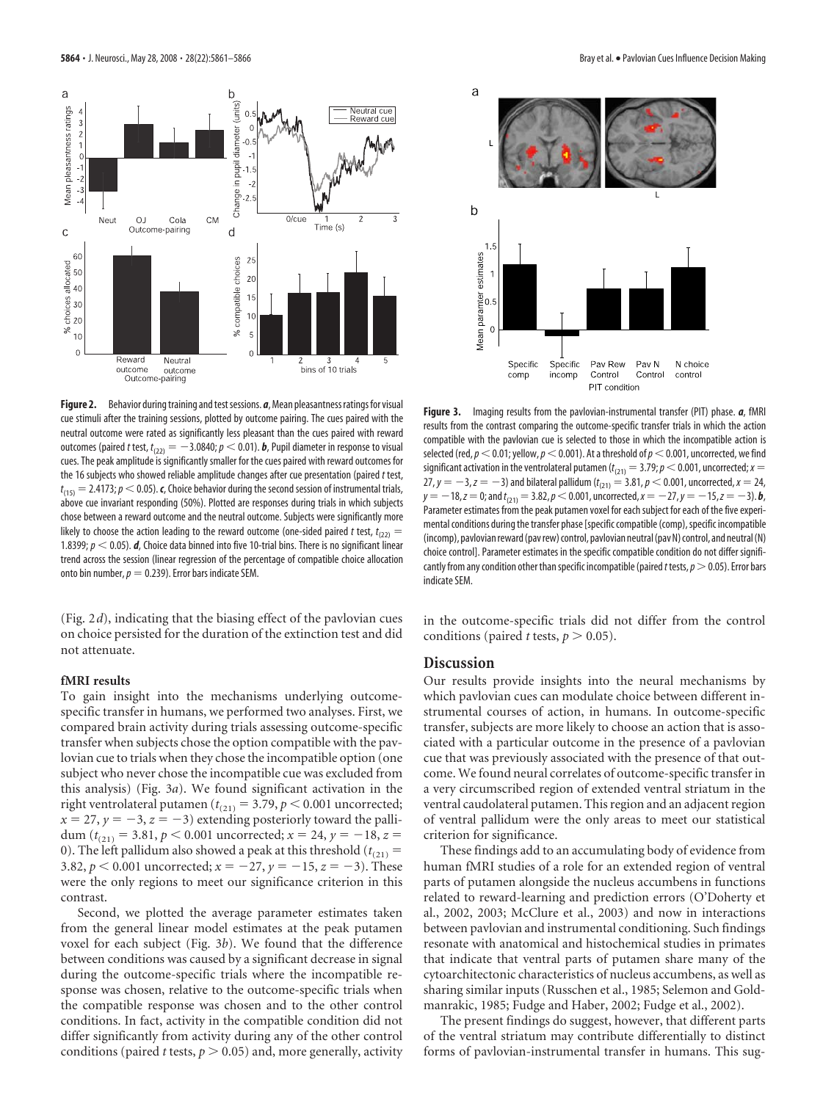

Figure 2. Behavior during training and test sessions. *a*, Mean pleasantness ratings for visual cue stimuli after the training sessions, plotted by outcome pairing. The cues paired with the neutral outcome were rated as significantly less pleasant than the cues paired with reward outcomes (paired *t* test,  $t_{(22)} = -3.0840; p < 0.01$ ). **b**, Pupil diameter in response to visual cues. The peak amplitude is significantly smaller for the cues paired with reward outcomes for the 16 subjects who showed reliable amplitude changes after cue presentation (paired*t* test,  $t_{(15)} = 2.4173$ ;  $p < 0.05$ ). *c*, Choice behavior during the second session of instrumental trials, above cue invariant responding (50%). Plotted are responses during trials in which subjects chose between a reward outcome and the neutral outcome. Subjects were significantly more likely to choose the action leading to the reward outcome (one-sided paired *t* test,  $t_{(22)}$  = 1.8399;  $p < 0.05$ ). *d*, Choice data binned into five 10-trial bins. There is no significant linear trend across the session (linear regression of the percentage of compatible choice allocation onto bin number,  $p = 0.239$ ). Error bars indicate SEM.

(Fig. 2*d*), indicating that the biasing effect of the pavlovian cues on choice persisted for the duration of the extinction test and did not attenuate.

#### **fMRI results**

To gain insight into the mechanisms underlying outcomespecific transfer in humans, we performed two analyses. First, we compared brain activity during trials assessing outcome-specific transfer when subjects chose the option compatible with the pavlovian cue to trials when they chose the incompatible option (one subject who never chose the incompatible cue was excluded from this analysis) (Fig. 3*a*). We found significant activation in the right ventrolateral putamen ( $t_{(21)} = 3.79$ ,  $p < 0.001$  uncorrected;  $x = 27, y = -3, z = -3$  extending posteriorly toward the pallidum ( $t_{(21)} = 3.81$ ,  $p < 0.001$  uncorrected;  $x = 24$ ,  $y = -18$ ,  $z =$ 0). The left pallidum also showed a peak at this threshold  $(t_{(21)} =$ 3.82,  $p < 0.001$  uncorrected;  $x = -27$ ,  $y = -15$ ,  $z = -3$ ). These were the only regions to meet our significance criterion in this contrast.

Second, we plotted the average parameter estimates taken from the general linear model estimates at the peak putamen voxel for each subject (Fig. 3*b*). We found that the difference between conditions was caused by a significant decrease in signal during the outcome-specific trials where the incompatible response was chosen, relative to the outcome-specific trials when the compatible response was chosen and to the other control conditions. In fact, activity in the compatible condition did not differ significantly from activity during any of the other control conditions (paired *t* tests,  $p > 0.05$ ) and, more generally, activity



**Figure 3.** Imaging results from the pavlovian-instrumental transfer (PIT) phase. *a*, fMRI results from the contrast comparing the outcome-specific transfer trials in which the action compatible with the pavlovian cue is selected to those in which the incompatible action is selected (red,  $p < 0.01$ ; yellow,  $p < 0.001$ ). At a threshold of  $p < 0.001$ , uncorrected, we find significant activation in the ventrolateral putamen ( $t_{(21)} = 3.79; p < 0.001$ , uncorrected;  $x =$  $27, y = -3, z = -3$ ) and bilateral pallidum ( $t_{(21)} = 3.81, p < 0.001$ , uncorrected,  $x = 24$ ,  $y = -18$ ,  $z = 0$ ; and  $t_{(21)} = 3.82$ ,  $p < 0.001$ , uncorrected,  $x = -27$ ,  $y = -15$ ,  $z = -3$ ). *b*, Parameter estimates from the peak putamen voxel for each subject for each of the five experimental conditions during the transfer phase [specific compatible (comp), specific incompatible (incomp), pavlovian reward (pav rew) control, pavlovian neutral (pav N) control, and neutral (N) choice control]. Parameter estimates in the specific compatible condition do not differ significantly from any condition other than specific incompatible (paired *t* tests,  $p > 0.05$ ). Error bars indicate SEM.

in the outcome-specific trials did not differ from the control conditions (paired *t* tests,  $p > 0.05$ ).

# **Discussion**

Our results provide insights into the neural mechanisms by which pavlovian cues can modulate choice between different instrumental courses of action, in humans. In outcome-specific transfer, subjects are more likely to choose an action that is associated with a particular outcome in the presence of a pavlovian cue that was previously associated with the presence of that outcome. We found neural correlates of outcome-specific transfer in a very circumscribed region of extended ventral striatum in the ventral caudolateral putamen. This region and an adjacent region of ventral pallidum were the only areas to meet our statistical criterion for significance.

These findings add to an accumulating body of evidence from human fMRI studies of a role for an extended region of ventral parts of putamen alongside the nucleus accumbens in functions related to reward-learning and prediction errors (O'Doherty et al., 2002, 2003; McClure et al., 2003) and now in interactions between pavlovian and instrumental conditioning. Such findings resonate with anatomical and histochemical studies in primates that indicate that ventral parts of putamen share many of the cytoarchitectonic characteristics of nucleus accumbens, as well as sharing similar inputs (Russchen et al., 1985; Selemon and Goldmanrakic, 1985; Fudge and Haber, 2002; Fudge et al., 2002).

The present findings do suggest, however, that different parts of the ventral striatum may contribute differentially to distinct forms of pavlovian-instrumental transfer in humans. This sug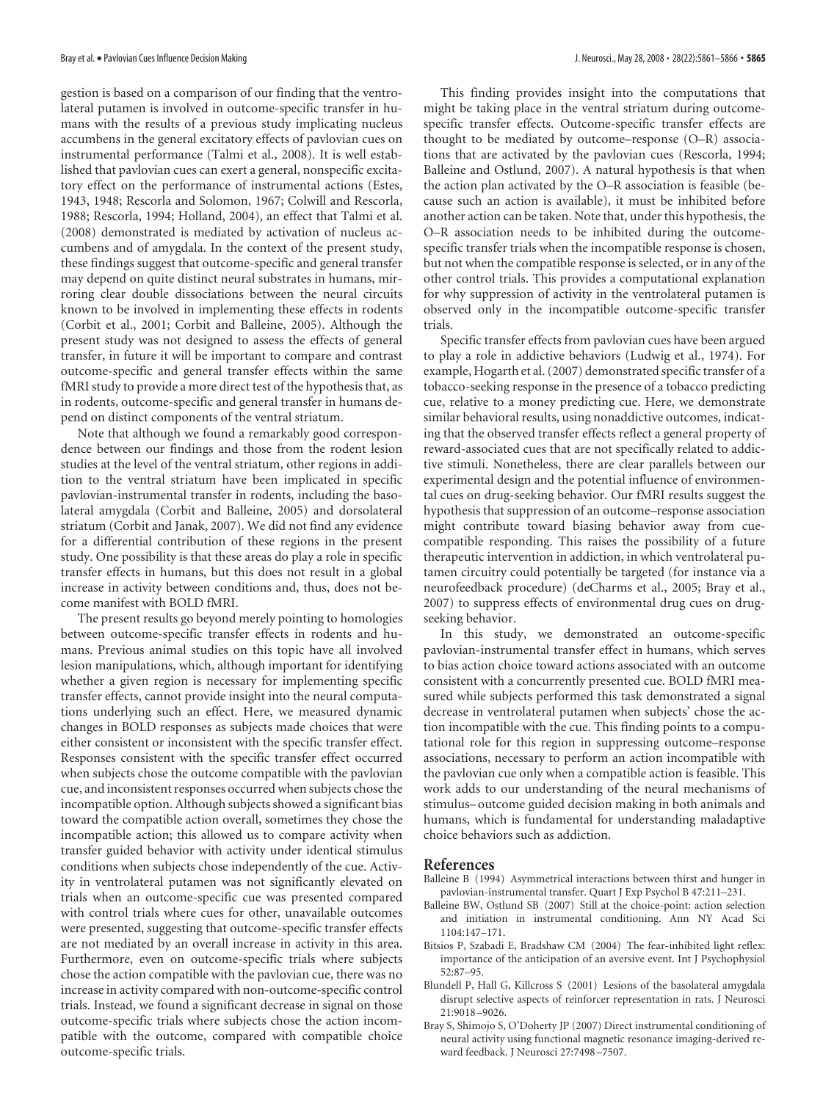gestion is based on a comparison of our finding that the ventrolateral putamen is involved in outcome-specific transfer in humans with the results of a previous study implicating nucleus accumbens in the general excitatory effects of pavlovian cues on instrumental performance (Talmi et al., 2008). It is well established that pavlovian cues can exert a general, nonspecific excitatory effect on the performance of instrumental actions (Estes, 1943, 1948; Rescorla and Solomon, 1967; Colwill and Rescorla, 1988; Rescorla, 1994; Holland, 2004), an effect that Talmi et al. (2008) demonstrated is mediated by activation of nucleus accumbens and of amygdala. In the context of the present study, these findings suggest that outcome-specific and general transfer may depend on quite distinct neural substrates in humans, mirroring clear double dissociations between the neural circuits known to be involved in implementing these effects in rodents (Corbit et al., 2001; Corbit and Balleine, 2005). Although the present study was not designed to assess the effects of general transfer, in future it will be important to compare and contrast outcome-specific and general transfer effects within the same fMRI study to provide a more direct test of the hypothesis that, as in rodents, outcome-specific and general transfer in humans depend on distinct components of the ventral striatum.

Note that although we found a remarkably good correspondence between our findings and those from the rodent lesion studies at the level of the ventral striatum, other regions in addition to the ventral striatum have been implicated in specific pavlovian-instrumental transfer in rodents, including the basolateral amygdala (Corbit and Balleine, 2005) and dorsolateral striatum (Corbit and Janak, 2007). We did not find any evidence for a differential contribution of these regions in the present study. One possibility is that these areas do play a role in specific transfer effects in humans, but this does not result in a global increase in activity between conditions and, thus, does not become manifest with BOLD fMRI.

The present results go beyond merely pointing to homologies between outcome-specific transfer effects in rodents and humans. Previous animal studies on this topic have all involved lesion manipulations, which, although important for identifying whether a given region is necessary for implementing specific transfer effects, cannot provide insight into the neural computations underlying such an effect. Here, we measured dynamic changes in BOLD responses as subjects made choices that were either consistent or inconsistent with the specific transfer effect. Responses consistent with the specific transfer effect occurred when subjects chose the outcome compatible with the pavlovian cue, and inconsistent responses occurred when subjects chose the incompatible option. Although subjects showed a significant bias toward the compatible action overall, sometimes they chose the incompatible action; this allowed us to compare activity when transfer guided behavior with activity under identical stimulus conditions when subjects chose independently of the cue. Activity in ventrolateral putamen was not significantly elevated on trials when an outcome-specific cue was presented compared with control trials where cues for other, unavailable outcomes were presented, suggesting that outcome-specific transfer effects are not mediated by an overall increase in activity in this area. Furthermore, even on outcome-specific trials where subjects chose the action compatible with the pavlovian cue, there was no increase in activity compared with non-outcome-specific control trials. Instead, we found a significant decrease in signal on those outcome-specific trials where subjects chose the action incompatible with the outcome, compared with compatible choice outcome-specific trials.

This finding provides insight into the computations that might be taking place in the ventral striatum during outcomespecific transfer effects. Outcome-specific transfer effects are thought to be mediated by outcome–response (O–R) associations that are activated by the pavlovian cues (Rescorla, 1994; Balleine and Ostlund, 2007). A natural hypothesis is that when the action plan activated by the O–R association is feasible (because such an action is available), it must be inhibited before another action can be taken. Note that, under this hypothesis, the O–R association needs to be inhibited during the outcomespecific transfer trials when the incompatible response is chosen, but not when the compatible response is selected, or in any of the other control trials. This provides a computational explanation for why suppression of activity in the ventrolateral putamen is observed only in the incompatible outcome-specific transfer trials.

Specific transfer effects from pavlovian cues have been argued to play a role in addictive behaviors (Ludwig et al., 1974). For example, Hogarth et al. (2007) demonstrated specific transfer of a tobacco-seeking response in the presence of a tobacco predicting cue, relative to a money predicting cue. Here, we demonstrate similar behavioral results, using nonaddictive outcomes, indicating that the observed transfer effects reflect a general property of reward-associated cues that are not specifically related to addictive stimuli. Nonetheless, there are clear parallels between our experimental design and the potential influence of environmental cues on drug-seeking behavior. Our fMRI results suggest the hypothesis that suppression of an outcome–response association might contribute toward biasing behavior away from cuecompatible responding. This raises the possibility of a future therapeutic intervention in addiction, in which ventrolateral putamen circuitry could potentially be targeted (for instance via a neurofeedback procedure) (deCharms et al., 2005; Bray et al., 2007) to suppress effects of environmental drug cues on drugseeking behavior.

In this study, we demonstrated an outcome-specific pavlovian-instrumental transfer effect in humans, which serves to bias action choice toward actions associated with an outcome consistent with a concurrently presented cue. BOLD fMRI measured while subjects performed this task demonstrated a signal decrease in ventrolateral putamen when subjects' chose the action incompatible with the cue. This finding points to a computational role for this region in suppressing outcome–response associations, necessary to perform an action incompatible with the pavlovian cue only when a compatible action is feasible. This work adds to our understanding of the neural mechanisms of stimulus– outcome guided decision making in both animals and humans, which is fundamental for understanding maladaptive choice behaviors such as addiction.

#### **References**

- Balleine B (1994) Asymmetrical interactions between thirst and hunger in pavlovian-instrumental transfer. Quart J Exp Psychol B 47:211–231.
- Balleine BW, Ostlund SB (2007) Still at the choice-point: action selection and initiation in instrumental conditioning. Ann NY Acad Sci 1104:147–171.
- Bitsios P, Szabadi E, Bradshaw CM (2004) The fear-inhibited light reflex: importance of the anticipation of an aversive event. Int J Psychophysiol 52:87–95.
- Blundell P, Hall G, Killcross S (2001) Lesions of the basolateral amygdala disrupt selective aspects of reinforcer representation in rats. J Neurosci 21:9018 –9026.
- Bray S, Shimojo S, O'Doherty JP (2007) Direct instrumental conditioning of neural activity using functional magnetic resonance imaging-derived reward feedback. J Neurosci 27:7498 –7507.